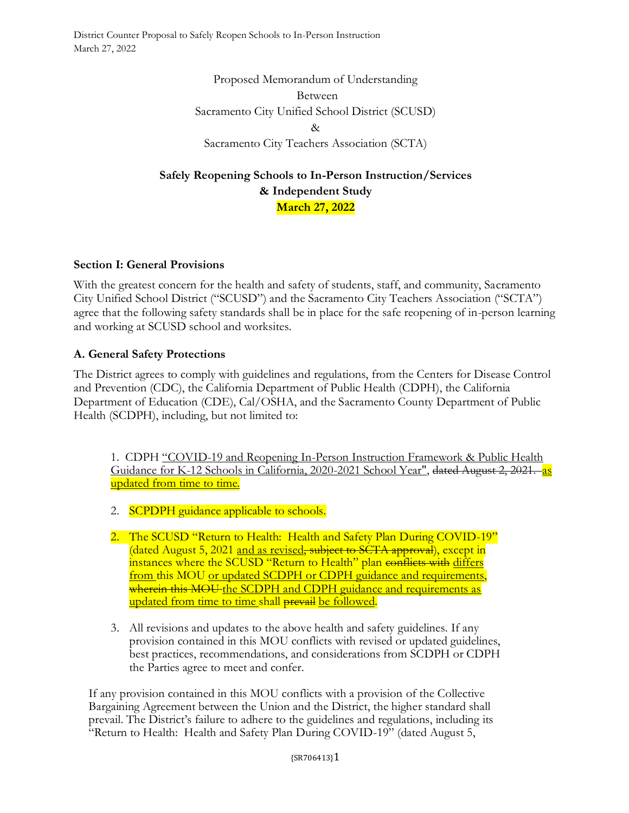> Proposed Memorandum of Understanding Between Sacramento City Unified School District (SCUSD)  $\lambda$ Sacramento City Teachers Association (SCTA)

# **Safely Reopening Schools to In-Person Instruction/Services & Independent Study March 27, 2022**

## **Section I: General Provisions**

With the greatest concern for the health and safety of students, staff, and community, Sacramento City Unified School District ("SCUSD") and the Sacramento City Teachers Association ("SCTA") agree that the following safety standards shall be in place for the safe reopening of in-person learning and working at SCUSD school and worksites.

### **A. General Safety Protections**

The District agrees to comply with guidelines and regulations, from the Centers for Disease Control and Prevention (CDC), the California Department of Public Health (CDPH), the California Department of Education (CDE), Cal/OSHA, and the Sacramento County Department of Public Health (SCDPH), including, but not limited to:

1. CDPH "COVID-19 and Reopening In-Person Instruction Framework & Public Health Guidance for K-12 Schools in California, 2020-2021 School Year", dated August 2, 2021. as updated from time to time.

- 2. **SCPDPH** guidance applicable to schools.
- 2. The SCUSD "Return to Health: Health and Safety Plan During COVID-19" (dated August 5, 2021 and as revised, subject to SCTA approval), except in instances where the SCUSD "Return to Health" plan conflicts with differs from this MOU or updated SCDPH or CDPH guidance and requirements, wherein this MOU the SCDPH and CDPH guidance and requirements as updated from time to time shall prevail be followed.
- 3. All revisions and updates to the above health and safety guidelines. If any provision contained in this MOU conflicts with revised or updated guidelines, best practices, recommendations, and considerations from SCDPH or CDPH the Parties agree to meet and confer.

If any provision contained in this MOU conflicts with a provision of the Collective Bargaining Agreement between the Union and the District, the higher standard shall prevail. The District's failure to adhere to the guidelines and regulations, including its "Return to Health: Health and Safety Plan During COVID-19" (dated August 5,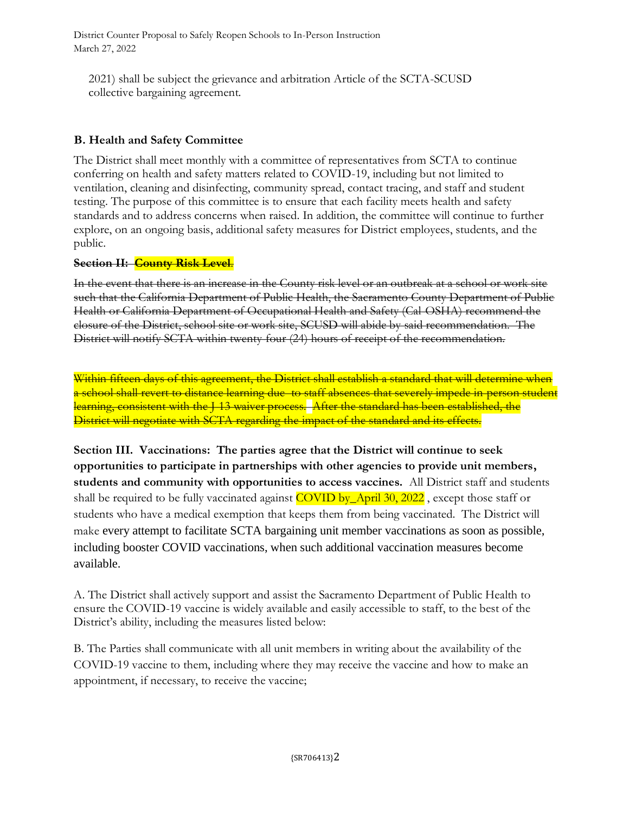2021) shall be subject the grievance and arbitration Article of the SCTA-SCUSD collective bargaining agreement.

### **B. Health and Safety Committee**

The District shall meet monthly with a committee of representatives from SCTA to continue conferring on health and safety matters related to COVID-19, including but not limited to ventilation, cleaning and disinfecting, community spread, contact tracing, and staff and student testing. The purpose of this committee is to ensure that each facility meets health and safety standards and to address concerns when raised. In addition, the committee will continue to further explore, on an ongoing basis, additional safety measures for District employees, students, and the public.

### **Section II: County Risk Level**.

In the event that there is an increase in the County risk level or an outbreak at a school or work site such that the California Department of Public Health, the Sacramento County Department of Public Health or California Department of Occupational Health and Safety (Cal-OSHA) recommend the closure of the District, school site or work site, SCUSD will abide by said recommendation. The District will notify SCTA within twenty-four (24) hours of receipt of the recommendation.

Within fifteen days of this agreement, the District shall establish a standard that will determine when a school shall revert to distance learning due to staff absences that severely impede in-person student learning, consistent with the J-13 waiver process. After the standard has been established, the District will negotiate with SCTA regarding the impact of the standard and its effects.

**Section III. Vaccinations: The parties agree that the District will continue to seek opportunities to participate in partnerships with other agencies to provide unit members, students and community with opportunities to access vaccines.** All District staff and students shall be required to be fully vaccinated against COVID by April 30, 2022, except those staff or students who have a medical exemption that keeps them from being vaccinated. The District will make every attempt to facilitate SCTA bargaining unit member vaccinations as soon as possible, including booster COVID vaccinations, when such additional vaccination measures become available.

A. The District shall actively support and assist the Sacramento Department of Public Health to ensure the COVID-19 vaccine is widely available and easily accessible to staff, to the best of the District's ability, including the measures listed below:

B. The Parties shall communicate with all unit members in writing about the availability of the COVID-19 vaccine to them, including where they may receive the vaccine and how to make an appointment, if necessary, to receive the vaccine;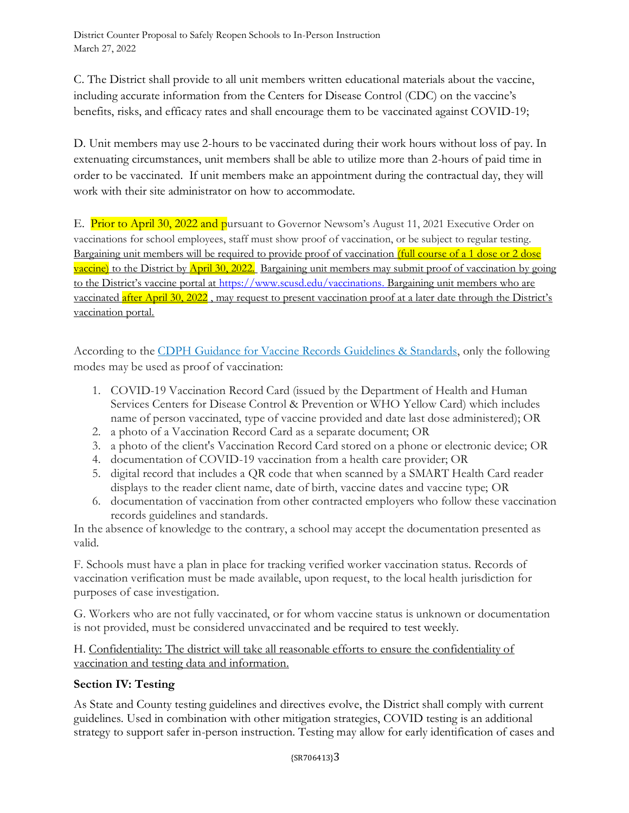C. The District shall provide to all unit members written educational materials about the vaccine, including accurate information from the Centers for Disease Control (CDC) on the vaccine's benefits, risks, and efficacy rates and shall encourage them to be vaccinated against COVID-19;

D. Unit members may use 2-hours to be vaccinated during their work hours without loss of pay. In extenuating circumstances, unit members shall be able to utilize more than 2-hours of paid time in order to be vaccinated. If unit members make an appointment during the contractual day, they will work with their site administrator on how to accommodate.

E. Prior to April 30, 2022 and pursuant to Governor Newsom's August 11, 2021 Executive Order on vaccinations for school employees, staff must show proof of vaccination, or be subject to regular testing. Bargaining unit members will be required to provide proof of vaccination (full course of a 1 dose or 2 dose vaccine) to the District by April 30, 2022. Bargaining unit members may submit proof of vaccination by going to the District's vaccine portal at [https://www.scusd.edu/vaccinations.](https://www.scusd.edu/vaccinations) Bargaining unit members who are vaccinated after April 30, 2022, may request to present vaccination proof at a later date through the District's vaccination portal.

According to the [CDPH Guidance for Vaccine Records Guidelines & Standards,](https://www.cdph.ca.gov/Programs/CID/DCDC/Pages/COVID-19/Vaccine-Record-Guidelines-Standards.aspx) only the following modes may be used as proof of vaccination:

- 1. COVID-19 Vaccination Record Card (issued by the Department of Health and Human Services Centers for Disease Control & Prevention or WHO Yellow Card) which includes name of person vaccinated, type of vaccine provided and date last dose administered); OR
- 2. a photo of a Vaccination Record Card as a separate document; OR
- 3. a photo of the client's Vaccination Record Card stored on a phone or electronic device; OR
- 4. documentation of COVID-19 vaccination from a health care provider; OR
- 5. digital record that includes a QR code that when scanned by a SMART Health Card reader displays to the reader client name, date of birth, vaccine dates and vaccine type; OR
- 6. documentation of vaccination from other contracted employers who follow these vaccination records guidelines and standards.

In the absence of knowledge to the contrary, a school may accept the documentation presented as valid.

F. Schools must have a plan in place for tracking verified worker vaccination status. Records of vaccination verification must be made available, upon request, to the local health jurisdiction for purposes of case investigation.

G. Workers who are not fully vaccinated, or for whom vaccine status is unknown or documentation is not provided, must be considered unvaccinated and be required to test weekly.

H. Confidentiality: The district will take all reasonable efforts to ensure the confidentiality of vaccination and testing data and information.

### **Section IV: Testing**

As State and County testing guidelines and directives evolve, the District shall comply with current guidelines. Used in combination with other mitigation strategies, COVID testing is an additional strategy to support safer in-person instruction. Testing may allow for early identification of cases and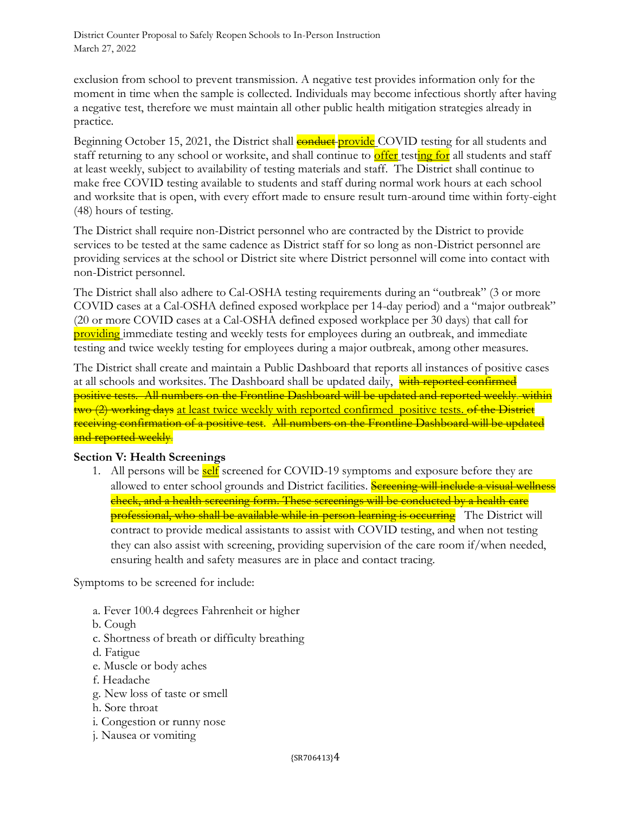exclusion from school to prevent transmission. A negative test provides information only for the moment in time when the sample is collected. Individuals may become infectious shortly after having a negative test, therefore we must maintain all other public health mitigation strategies already in practice.

Beginning October 15, 2021, the District shall **conduct** provide COVID testing for all students and staff returning to any school or worksite, and shall continue to **offer** testing for all students and staff at least weekly, subject to availability of testing materials and staff. The District shall continue to make free COVID testing available to students and staff during normal work hours at each school and worksite that is open, with every effort made to ensure result turn-around time within forty-eight (48) hours of testing.

The District shall require non-District personnel who are contracted by the District to provide services to be tested at the same cadence as District staff for so long as non-District personnel are providing services at the school or District site where District personnel will come into contact with non-District personnel.

The District shall also adhere to Cal-OSHA testing requirements during an "outbreak" (3 or more COVID cases at a Cal-OSHA defined exposed workplace per 14-day period) and a "major outbreak" (20 or more COVID cases at a Cal-OSHA defined exposed workplace per 30 days) that call for providing immediate testing and weekly tests for employees during an outbreak, and immediate testing and twice weekly testing for employees during a major outbreak, among other measures.

The District shall create and maintain a Public Dashboard that reports all instances of positive cases at all schools and worksites. The Dashboard shall be updated daily, with reported confirmed positive tests. All numbers on the Frontline Dashboard will be updated and reported weekly. within two (2) working days at least twice weekly with reported confirmed positive tests. of the District receiving confirmation of a positive test. All numbers on the Frontline Dashboard will be updated and reported weekly.

#### **Section V: Health Screenings**

1. All persons will be **self** screened for COVID-19 symptoms and exposure before they are allowed to enter school grounds and District facilities. **Sereening will include a visual wellness** check, and a health screening form. These screenings will be conducted by a health care professional, who shall be available while in-person learning is occurring The District will contract to provide medical assistants to assist with COVID testing, and when not testing they can also assist with screening, providing supervision of the care room if/when needed, ensuring health and safety measures are in place and contact tracing.

Symptoms to be screened for include:

- a. Fever 100.4 degrees Fahrenheit or higher
- b. Cough
- c. Shortness of breath or difficulty breathing
- d. Fatigue
- e. Muscle or body aches
- f. Headache
- g. New loss of taste or smell
- h. Sore throat
- i. Congestion or runny nose
- j. Nausea or vomiting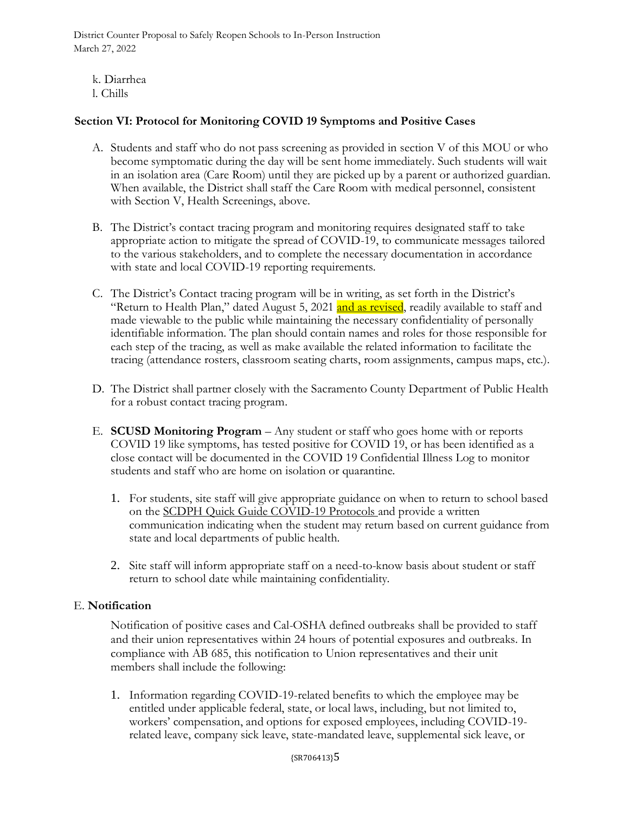- k. Diarrhea
- l. Chills

### **Section VI: Protocol for Monitoring COVID 19 Symptoms and Positive Cases**

- A. Students and staff who do not pass screening as provided in section V of this MOU or who become symptomatic during the day will be sent home immediately. Such students will wait in an isolation area (Care Room) until they are picked up by a parent or authorized guardian. When available, the District shall staff the Care Room with medical personnel, consistent with Section V, Health Screenings, above.
- B. The District's contact tracing program and monitoring requires designated staff to take appropriate action to mitigate the spread of COVID-19, to communicate messages tailored to the various stakeholders, and to complete the necessary documentation in accordance with state and local COVID-19 reporting requirements.
- C. The District's Contact tracing program will be in writing, as set forth in the District's "Return to Health Plan," dated August 5, 2021 and as revised, readily available to staff and made viewable to the public while maintaining the necessary confidentiality of personally identifiable information. The plan should contain names and roles for those responsible for each step of the tracing, as well as make available the related information to facilitate the tracing (attendance rosters, classroom seating charts, room assignments, campus maps, etc.).
- D. The District shall partner closely with the Sacramento County Department of Public Health for a robust contact tracing program.
- E. **SCUSD Monitoring Program** Any student or staff who goes home with or reports COVID 19 like symptoms, has tested positive for COVID 19, or has been identified as a close contact will be documented in the COVID 19 Confidential Illness Log to monitor students and staff who are home on isolation or quarantine.
	- 1. For students, site staff will give appropriate guidance on when to return to school based on the SCDPH Quick Guide COVID-19 Protocols and provide a written communication indicating when the student may return based on current guidance from state and local departments of public health.
	- 2. Site staff will inform appropriate staff on a need-to-know basis about student or staff return to school date while maintaining confidentiality.

#### E. **Notification**

Notification of positive cases and Cal-OSHA defined outbreaks shall be provided to staff and their union representatives within 24 hours of potential exposures and outbreaks. In compliance with AB 685, this notification to Union representatives and their unit members shall include the following:

1. Information regarding COVID-19-related benefits to which the employee may be entitled under applicable federal, state, or local laws, including, but not limited to, workers' compensation, and options for exposed employees, including COVID-19 related leave, company sick leave, state-mandated leave, supplemental sick leave, or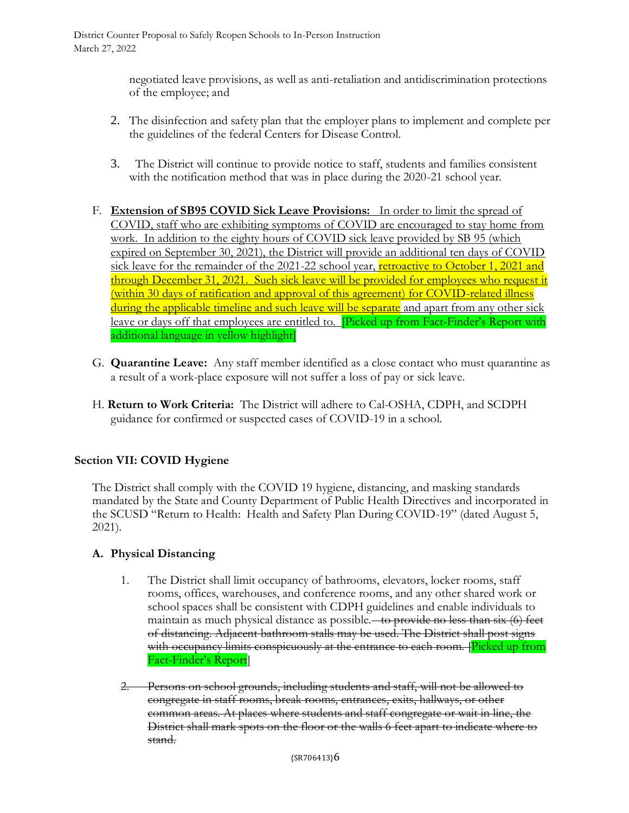negotiated leave provisions, as well as anti-retaliation and antidiscrimination protections of the employee; and

- 2. The disinfection and safety plan that the employer plans to implement and complete per the guidelines of the federal Centers for Disease Control.
- 3. The District will continue to provide notice to staff, students and families consistent with the notification method that was in place during the 2020-21 school year.
- F. **Extension of SB95 COVID Sick Leave Provisions:** In order to limit the spread of COVID, staff who are exhibiting symptoms of COVID are encouraged to stay home from work. In addition to the eighty hours of COVID sick leave provided by SB 95 (which expired on September 30, 2021), the District will provide an additional ten days of COVID sick leave for the remainder of the 2021-22 school year, retroactive to October 1, 2021 and through December 31, 2021. Such sick leave will be provided for employees who request it (within 30 days of ratification and approval of this agreement) for COVID-related illness during the applicable timeline and such leave will be separate and apart from any other sick leave or days off that employees are entitled to. **[Picked up from Fact-Finder's Report with** additional language in yellow highlight]
- G. **Quarantine Leave:** Any staff member identified as a close contact who must quarantine as a result of a work-place exposure will not suffer a loss of pay or sick leave.
- H. **Return to Work Criteria:** The District will adhere to Cal-OSHA, CDPH, and SCDPH guidance for confirmed or suspected cases of COVID-19 in a school.

# **Section VII: COVID Hygiene**

The District shall comply with the COVID 19 hygiene, distancing, and masking standards mandated by the State and County Department of Public Health Directives and incorporated in the SCUSD "Return to Health: Health and Safety Plan During COVID-19" (dated August 5, 2021).

### **A. Physical Distancing**

- 1. The District shall limit occupancy of bathrooms, elevators, locker rooms, staff rooms, offices, warehouses, and conference rooms, and any other shared work or school spaces shall be consistent with CDPH guidelines and enable individuals to maintain as much physical distance as possible.  $\rightarrow$  to provide no less than six (6) feet of distancing. Adjacent bathroom stalls may be used. The District shall post signs with occupancy limits conspicuously at the entrance to each room. [Picked up from Fact-Finder's Report]
- 2. Persons on school grounds, including students and staff, will not be allowed to congregate in staff rooms, break rooms, entrances, exits, hallways, or other common areas. At places where students and staff congregate or wait in line, the District shall mark spots on the floor or the walls 6 feet apart to indicate where to stand.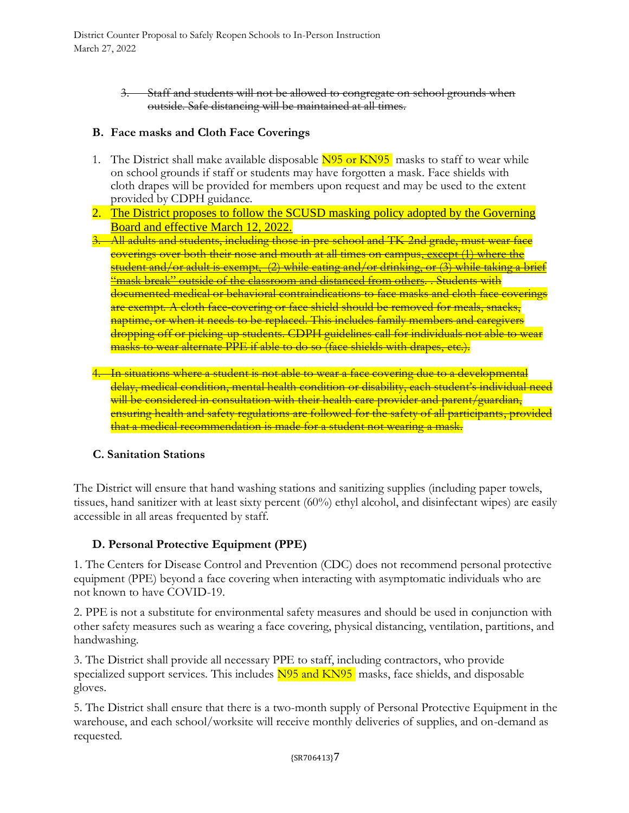> 3. Staff and students will not be allowed to congregate on school grounds when outside. Safe distancing will be maintained at all times.

#### **B. Face masks and Cloth Face Coverings**

- 1. The District shall make available disposable N95 or KN95 masks to staff to wear while on school grounds if staff or students may have forgotten a mask. Face shields with cloth drapes will be provided for members upon request and may be used to the extent provided by CDPH guidance.
- 2. The District proposes to follow the SCUSD masking policy adopted by the Governing Board and effective March 12, 2022.
- 3. All adults and students, including those in pre-school and TK-2nd grade, must wear face coverings over both their nose and mouth at all times on campus, except (1) where the student and/or adult is exempt, (2) while eating and/or drinking, or (3) while taking a brief "mask break" outside of the classroom and distanced from others. . Students with documented medical or behavioral contraindications to face masks and cloth face coverings are exempt. A cloth face-covering or face shield should be removed for meals, snacks, naptime, or when it needs to be replaced. This includes family members and caregivers dropping off or picking-up students. CDPH guidelines call for individuals not able to wear masks to wear alternate PPE if able to do so (face shields with drapes, etc.).
- 4. In situations where a student is not able to wear a face covering due to a developmental delay, medical condition, mental health condition or disability, each student's individual need will be considered in consultation with their health care provider and parent/guardian, ensuring health and safety regulations are followed for the safety of all participants, provided that a medical recommendation is made for a student not wearing a mask.

### **C. Sanitation Stations**

The District will ensure that hand washing stations and sanitizing supplies (including paper towels, tissues, hand sanitizer with at least sixty percent (60%) ethyl alcohol, and disinfectant wipes) are easily accessible in all areas frequented by staff.

### **D. Personal Protective Equipment (PPE)**

1. The Centers for Disease Control and Prevention (CDC) does not recommend personal protective equipment (PPE) beyond a face covering when interacting with asymptomatic individuals who are not known to have COVID-19.

2. PPE is not a substitute for environmental safety measures and should be used in conjunction with other safety measures such as wearing a face covering, physical distancing, ventilation, partitions, and handwashing.

3. The District shall provide all necessary PPE to staff, including contractors, who provide specialized support services. This includes N95 and KN95 masks, face shields, and disposable gloves.

5. The District shall ensure that there is a two-month supply of Personal Protective Equipment in the warehouse, and each school/worksite will receive monthly deliveries of supplies, and on-demand as requested.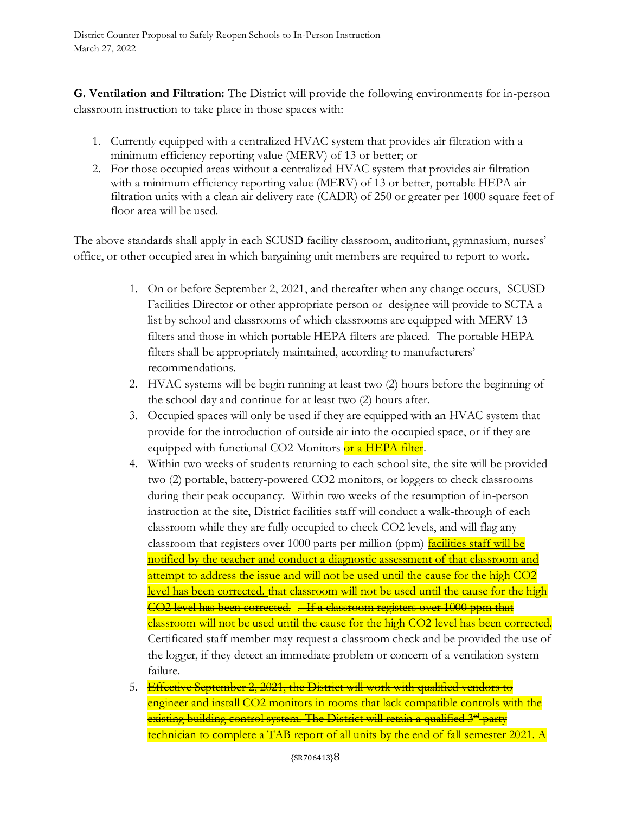**G. Ventilation and Filtration:** The District will provide the following environments for in-person classroom instruction to take place in those spaces with:

- 1. Currently equipped with a centralized HVAC system that provides air filtration with a minimum efficiency reporting value (MERV) of 13 or better; or
- 2. For those occupied areas without a centralized HVAC system that provides air filtration with a minimum efficiency reporting value (MERV) of 13 or better, portable HEPA air filtration units with a clean air delivery rate (CADR) of 250 or greater per 1000 square feet of floor area will be used.

The above standards shall apply in each SCUSD facility classroom, auditorium, gymnasium, nurses' office, or other occupied area in which bargaining unit members are required to report to work**.**

- 1. On or before September 2, 2021, and thereafter when any change occurs, SCUSD Facilities Director or other appropriate person or designee will provide to SCTA a list by school and classrooms of which classrooms are equipped with MERV 13 filters and those in which portable HEPA filters are placed. The portable HEPA filters shall be appropriately maintained, according to manufacturers' recommendations.
- 2. HVAC systems will be begin running at least two (2) hours before the beginning of the school day and continue for at least two (2) hours after.
- 3. Occupied spaces will only be used if they are equipped with an HVAC system that provide for the introduction of outside air into the occupied space, or if they are equipped with functional CO2 Monitors or a HEPA filter.
- 4. Within two weeks of students returning to each school site, the site will be provided two (2) portable, battery-powered CO2 monitors, or loggers to check classrooms during their peak occupancy. Within two weeks of the resumption of in-person instruction at the site, District facilities staff will conduct a walk-through of each classroom while they are fully occupied to check CO2 levels, and will flag any classroom that registers over 1000 parts per million (ppm) facilities staff will be notified by the teacher and conduct a diagnostic assessment of that classroom and attempt to address the issue and will not be used until the cause for the high CO2 level has been corrected. that classroom will not be used until the cause for the high CO2 level has been corrected. . If a classroom registers over 1000 ppm that classroom will not be used until the cause for the high CO2 level has been corrected. Certificated staff member may request a classroom check and be provided the use of the logger, if they detect an immediate problem or concern of a ventilation system failure.
- 5. Effective September 2, 2021, the District will work with qualified vendors to engineer and install CO2 monitors in rooms that lack compatible controls with the existing building control system. The District will retain a qualified  $3^{rd}$  party technician to complete a TAB report of all units by the end of fall semester 2021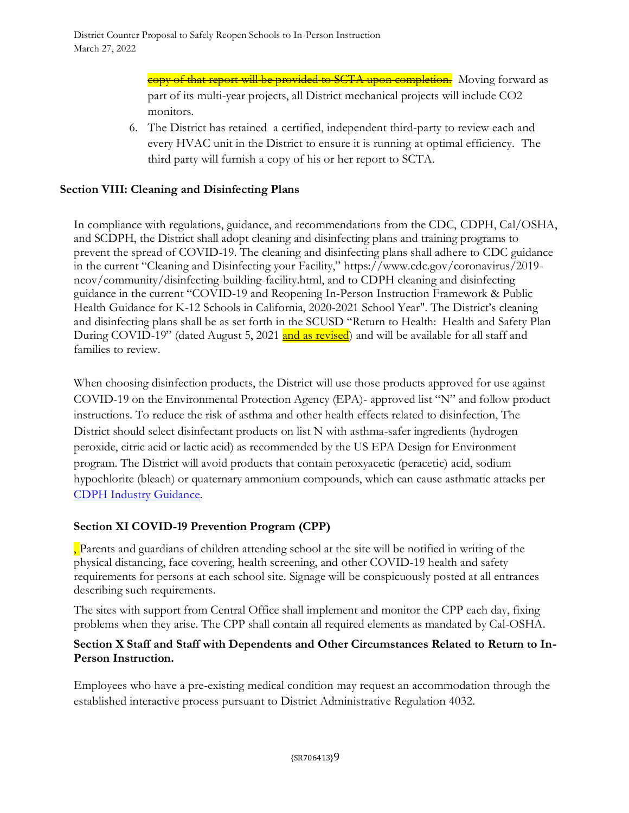copy of that report will be provided to SCTA upon completion. Moving forward as part of its multi-year projects, all District mechanical projects will include CO2 monitors.

6. The District has retained a certified, independent third-party to review each and every HVAC unit in the District to ensure it is running at optimal efficiency. The third party will furnish a copy of his or her report to SCTA.

# **Section VIII: Cleaning and Disinfecting Plans**

In compliance with regulations, guidance, and recommendations from the CDC, CDPH, Cal/OSHA, and SCDPH, the District shall adopt cleaning and disinfecting plans and training programs to prevent the spread of COVID-19. The cleaning and disinfecting plans shall adhere to CDC guidance in the current "Cleaning and Disinfecting your Facility," https://www.cdc.gov/coronavirus/2019 ncov/community/disinfecting-building-facility.html, and to CDPH cleaning and disinfecting guidance in the current "COVID-19 and Reopening In-Person Instruction Framework & Public Health Guidance for K-12 Schools in California, 2020-2021 School Year". The District's cleaning and disinfecting plans shall be as set forth in the SCUSD "Return to Health: Health and Safety Plan During COVID-19" (dated August 5, 2021 and as revised) and will be available for all staff and families to review.

When choosing disinfection products, the District will use those products approved for use against COVID-19 on the Environmental Protection Agency (EPA)- approved list "N" and follow product instructions. To reduce the risk of asthma and other health effects related to disinfection, The District should select disinfectant products on list N with asthma-safer ingredients (hydrogen peroxide, citric acid or lactic acid) as recommended by the US EPA Design for Environment program. The District will avoid products that contain peroxyacetic (peracetic) acid, sodium hypochlorite (bleach) or quaternary ammonium compounds, which can cause asthmatic attacks per [CDPH Industry Guidance.](https://www.cdph.ca.gov/Programs/CID/DCDC/CDPH%20Document%20Library/COVID-19/Consolidated_Schools_Guidance.pdf)

# **Section XI COVID-19 Prevention Program (CPP)**

, Parents and guardians of children attending school at the site will be notified in writing of the physical distancing, face covering, health screening, and other COVID-19 health and safety requirements for persons at each school site. Signage will be conspicuously posted at all entrances describing such requirements.

The sites with support from Central Office shall implement and monitor the CPP each day, fixing problems when they arise. The CPP shall contain all required elements as mandated by Cal-OSHA.

### **Section X Staff and Staff with Dependents and Other Circumstances Related to Return to In-Person Instruction.**

Employees who have a pre-existing medical condition may request an accommodation through the established interactive process pursuant to District Administrative Regulation 4032.